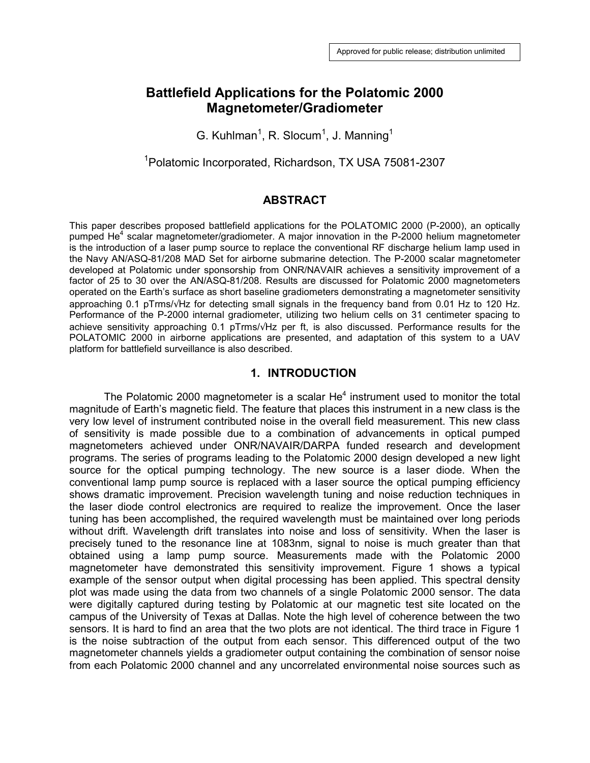# **Battlefield Applications for the Polatomic 2000 Magnetometer/Gradiometer**

G. Kuhlman<sup>1</sup>, R. Slocum<sup>1</sup>, J. Manning<sup>1</sup>

<sup>1</sup>Polatomic Incorporated, Richardson, TX USA 75081-2307

#### **ABSTRACT**

This paper describes proposed battlefield applications for the POLATOMIC 2000 (P-2000), an optically pumped He<sup>4</sup> scalar magnetometer/gradiometer. A major innovation in the P-2000 helium magnetometer is the introduction of a laser pump source to replace the conventional RF discharge helium lamp used in the Navy AN/ASQ-81/208 MAD Set for airborne submarine detection. The P-2000 scalar magnetometer developed at Polatomic under sponsorship from ONR/NAVAIR achieves a sensitivity improvement of a factor of 25 to 30 over the AN/ASQ-81/208. Results are discussed for Polatomic 2000 magnetometers operated on the Earth's surface as short baseline gradiometers demonstrating a magnetometer sensitivity approaching 0.1 pTrms/√Hz for detecting small signals in the frequency band from 0.01 Hz to 120 Hz. Performance of the P-2000 internal gradiometer, utilizing two helium cells on 31 centimeter spacing to achieve sensitivity approaching 0.1 pTrms/√Hz per ft, is also discussed. Performance results for the POLATOMIC 2000 in airborne applications are presented, and adaptation of this system to a UAV platform for battlefield surveillance is also described.

#### **1. INTRODUCTION**

The Polatomic 2000 magnetometer is a scalar  $He<sup>4</sup>$  instrument used to monitor the total magnitude of Earth's magnetic field. The feature that places this instrument in a new class is the very low level of instrument contributed noise in the overall field measurement. This new class of sensitivity is made possible due to a combination of advancements in optical pumped magnetometers achieved under ONR/NAVAIR/DARPA funded research and development programs. The series of programs leading to the Polatomic 2000 design developed a new light source for the optical pumping technology. The new source is a laser diode. When the conventional lamp pump source is replaced with a laser source the optical pumping efficiency shows dramatic improvement. Precision wavelength tuning and noise reduction techniques in the laser diode control electronics are required to realize the improvement. Once the laser tuning has been accomplished, the required wavelength must be maintained over long periods without drift. Wavelength drift translates into noise and loss of sensitivity. When the laser is precisely tuned to the resonance line at 1083nm, signal to noise is much greater than that obtained using a lamp pump source. Measurements made with the Polatomic 2000 magnetometer have demonstrated this sensitivity improvement. Figure 1 shows a typical example of the sensor output when digital processing has been applied. This spectral density plot was made using the data from two channels of a single Polatomic 2000 sensor. The data were digitally captured during testing by Polatomic at our magnetic test site located on the campus of the University of Texas at Dallas. Note the high level of coherence between the two sensors. It is hard to find an area that the two plots are not identical. The third trace in Figure 1 is the noise subtraction of the output from each sensor. This differenced output of the two magnetometer channels yields a gradiometer output containing the combination of sensor noise from each Polatomic 2000 channel and any uncorrelated environmental noise sources such as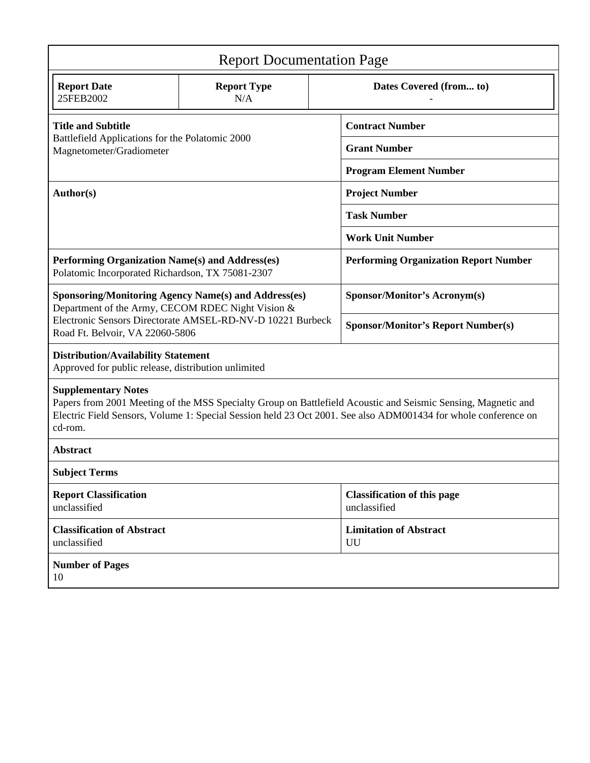| <b>Report Documentation Page</b>                                                                                                                                                                                                                                         |                           |                                                    |                                           |  |
|--------------------------------------------------------------------------------------------------------------------------------------------------------------------------------------------------------------------------------------------------------------------------|---------------------------|----------------------------------------------------|-------------------------------------------|--|
| <b>Report Date</b><br>25FEB2002                                                                                                                                                                                                                                          | <b>Report Type</b><br>N/A |                                                    | Dates Covered (from to)                   |  |
| <b>Title and Subtitle</b><br>Battlefield Applications for the Polatomic 2000<br>Magnetometer/Gradiometer                                                                                                                                                                 |                           |                                                    | <b>Contract Number</b>                    |  |
|                                                                                                                                                                                                                                                                          |                           |                                                    | <b>Grant Number</b>                       |  |
|                                                                                                                                                                                                                                                                          |                           |                                                    | <b>Program Element Number</b>             |  |
| Author(s)                                                                                                                                                                                                                                                                |                           | <b>Project Number</b>                              |                                           |  |
|                                                                                                                                                                                                                                                                          |                           | <b>Task Number</b>                                 |                                           |  |
|                                                                                                                                                                                                                                                                          |                           | <b>Work Unit Number</b>                            |                                           |  |
| Performing Organization Name(s) and Address(es)<br>Polatomic Incorporated Richardson, TX 75081-2307                                                                                                                                                                      |                           | <b>Performing Organization Report Number</b>       |                                           |  |
| <b>Sponsoring/Monitoring Agency Name(s) and Address(es)</b><br>Department of the Army, CECOM RDEC Night Vision &                                                                                                                                                         |                           | <b>Sponsor/Monitor's Acronym(s)</b>                |                                           |  |
| Electronic Sensors Directorate AMSEL-RD-NV-D 10221 Burbeck<br>Road Ft. Belvoir, VA 22060-5806                                                                                                                                                                            |                           |                                                    | <b>Sponsor/Monitor's Report Number(s)</b> |  |
| <b>Distribution/Availability Statement</b><br>Approved for public release, distribution unlimited                                                                                                                                                                        |                           |                                                    |                                           |  |
| <b>Supplementary Notes</b><br>Papers from 2001 Meeting of the MSS Specialty Group on Battlefield Acoustic and Seismic Sensing, Magnetic and<br>Electric Field Sensors, Volume 1: Special Session held 23 Oct 2001. See also ADM001434 for whole conference on<br>cd-rom. |                           |                                                    |                                           |  |
| <b>Abstract</b>                                                                                                                                                                                                                                                          |                           |                                                    |                                           |  |
| <b>Subject Terms</b>                                                                                                                                                                                                                                                     |                           |                                                    |                                           |  |
| <b>Report Classification</b><br>unclassified                                                                                                                                                                                                                             |                           | <b>Classification of this page</b><br>unclassified |                                           |  |
| <b>Classification of Abstract</b><br>unclassified                                                                                                                                                                                                                        |                           |                                                    | <b>Limitation of Abstract</b><br>UU       |  |
| <b>Number of Pages</b><br>10                                                                                                                                                                                                                                             |                           |                                                    |                                           |  |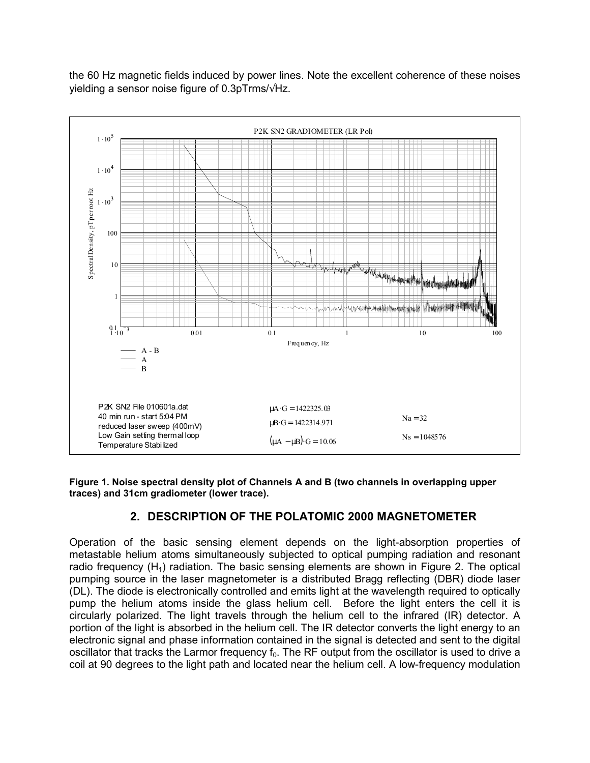the 60 Hz magnetic fields induced by power lines. Note the excellent coherence of these noises yielding a sensor noise figure of 0.3pTrms/√Hz.



**Figure 1. Noise spectral density plot of Channels A and B (two channels in overlapping upper traces) and 31cm gradiometer (lower trace).** 

# **2. DESCRIPTION OF THE POLATOMIC 2000 MAGNETOMETER**

Operation of the basic sensing element depends on the light-absorption properties of metastable helium atoms simultaneously subjected to optical pumping radiation and resonant radio frequency  $(H_1)$  radiation. The basic sensing elements are shown in Figure 2. The optical pumping source in the laser magnetometer is a distributed Bragg reflecting (DBR) diode laser (DL). The diode is electronically controlled and emits light at the wavelength required to optically pump the helium atoms inside the glass helium cell. Before the light enters the cell it is circularly polarized. The light travels through the helium cell to the infrared (IR) detector. A portion of the light is absorbed in the helium cell. The IR detector converts the light energy to an electronic signal and phase information contained in the signal is detected and sent to the digital oscillator that tracks the Larmor frequency  $f_0$ . The RF output from the oscillator is used to drive a coil at 90 degrees to the light path and located near the helium cell. A low-frequency modulation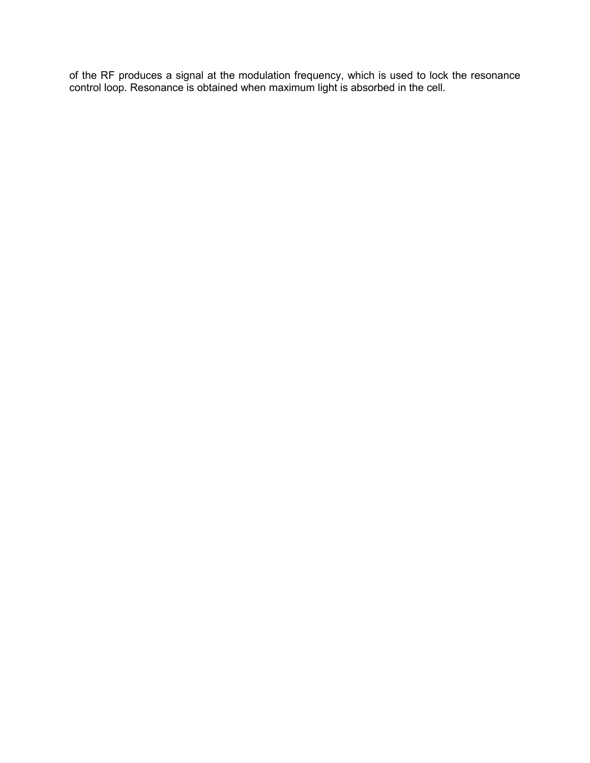of the RF produces a signal at the modulation frequency, which is used to lock the resonance control loop. Resonance is obtained when maximum light is absorbed in the cell.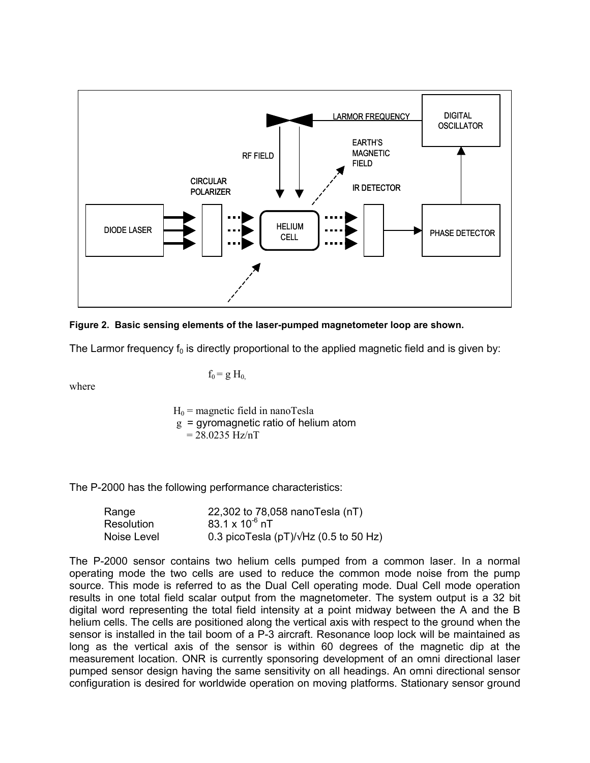



The Larmor frequency  $f_0$  is directly proportional to the applied magnetic field and is given by:

where

 $f_0 = g H_0$ 

 $H_0$  = magnetic field in nanoTesla  $g = gyromagnetic ratio of helium atom$ 

 $= 28.0235$  Hz/nT

The P-2000 has the following performance characteristics:

| Range       | 22,302 to 78,058 nanoTesla (nT)                |
|-------------|------------------------------------------------|
| Resolution  | 83.1 x $10^{-6}$ nT                            |
| Noise Level | 0.3 picoTesla (pT)/ $\sqrt{Hz}$ (0.5 to 50 Hz) |

The P-2000 sensor contains two helium cells pumped from a common laser. In a normal operating mode the two cells are used to reduce the common mode noise from the pump source. This mode is referred to as the Dual Cell operating mode. Dual Cell mode operation results in one total field scalar output from the magnetometer. The system output is a 32 bit digital word representing the total field intensity at a point midway between the A and the B helium cells. The cells are positioned along the vertical axis with respect to the ground when the sensor is installed in the tail boom of a P-3 aircraft. Resonance loop lock will be maintained as long as the vertical axis of the sensor is within 60 degrees of the magnetic dip at the measurement location. ONR is currently sponsoring development of an omni directional laser pumped sensor design having the same sensitivity on all headings. An omni directional sensor configuration is desired for worldwide operation on moving platforms. Stationary sensor ground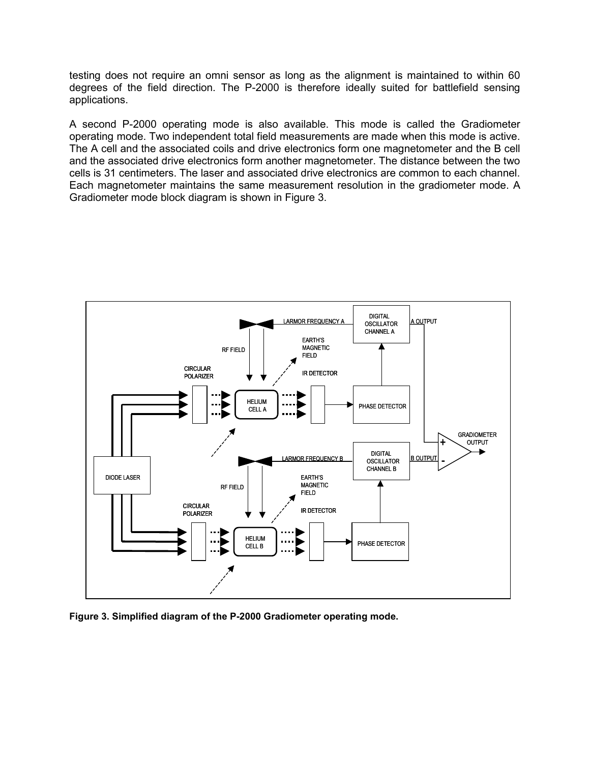testing does not require an omni sensor as long as the alignment is maintained to within 60 degrees of the field direction. The P-2000 is therefore ideally suited for battlefield sensing applications.

A second P-2000 operating mode is also available. This mode is called the Gradiometer operating mode. Two independent total field measurements are made when this mode is active. The A cell and the associated coils and drive electronics form one magnetometer and the B cell and the associated drive electronics form another magnetometer. The distance between the two cells is 31 centimeters. The laser and associated drive electronics are common to each channel. Each magnetometer maintains the same measurement resolution in the gradiometer mode. A Gradiometer mode block diagram is shown in Figure 3.



**Figure 3. Simplified diagram of the P-2000 Gradiometer operating mode.**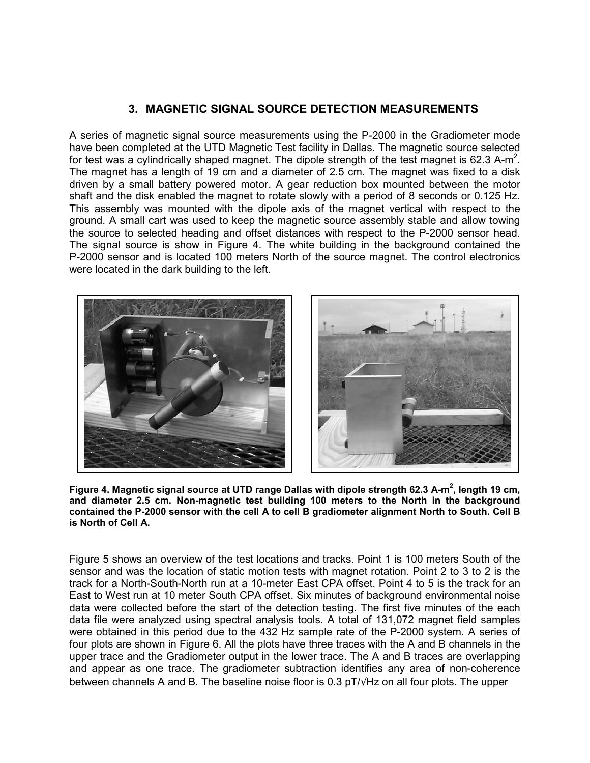# **3. MAGNETIC SIGNAL SOURCE DETECTION MEASUREMENTS**

A series of magnetic signal source measurements using the P-2000 in the Gradiometer mode have been completed at the UTD Magnetic Test facility in Dallas. The magnetic source selected for test was a cylindrically shaped magnet. The dipole strength of the test magnet is 62.3 A-m<sup>2</sup>. The magnet has a length of 19 cm and a diameter of 2.5 cm. The magnet was fixed to a disk driven by a small battery powered motor. A gear reduction box mounted between the motor shaft and the disk enabled the magnet to rotate slowly with a period of 8 seconds or 0.125 Hz. This assembly was mounted with the dipole axis of the magnet vertical with respect to the ground. A small cart was used to keep the magnetic source assembly stable and allow towing the source to selected heading and offset distances with respect to the P-2000 sensor head. The signal source is show in Figure 4. The white building in the background contained the P-2000 sensor and is located 100 meters North of the source magnet. The control electronics were located in the dark building to the left.



**Figure 4. Magnetic signal source at UTD range Dallas with dipole strength 62.3 A-m<sup>2</sup> , length 19 cm, and diameter 2.5 cm. Non-magnetic test building 100 meters to the North in the background contained the P-2000 sensor with the cell A to cell B gradiometer alignment North to South. Cell B is North of Cell A.** 

Figure 5 shows an overview of the test locations and tracks. Point 1 is 100 meters South of the sensor and was the location of static motion tests with magnet rotation. Point 2 to 3 to 2 is the track for a North-South-North run at a 10-meter East CPA offset. Point 4 to 5 is the track for an East to West run at 10 meter South CPA offset. Six minutes of background environmental noise data were collected before the start of the detection testing. The first five minutes of the each data file were analyzed using spectral analysis tools. A total of 131,072 magnet field samples were obtained in this period due to the 432 Hz sample rate of the P-2000 system. A series of four plots are shown in Figure 6. All the plots have three traces with the A and B channels in the upper trace and the Gradiometer output in the lower trace. The A and B traces are overlapping and appear as one trace. The gradiometer subtraction identifies any area of non-coherence between channels A and B. The baseline noise floor is 0.3 pT/√Hz on all four plots. The upper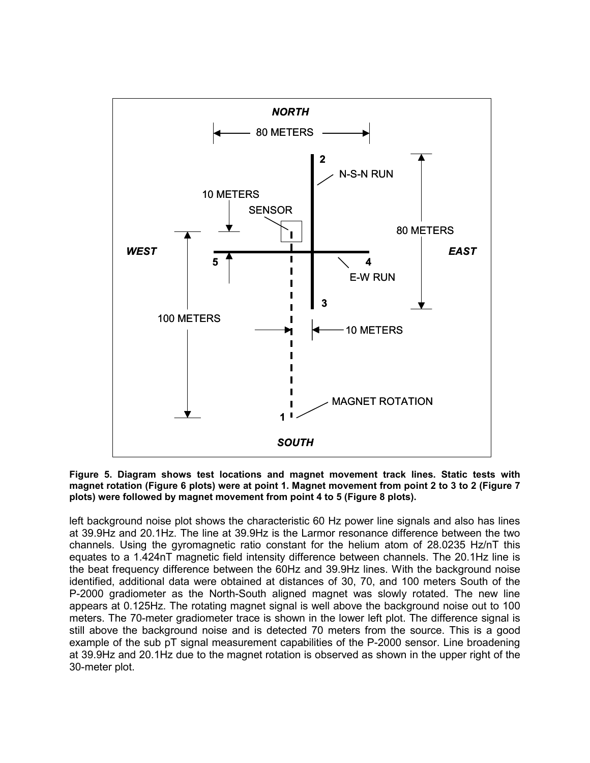

**Figure 5. Diagram shows test locations and magnet movement track lines. Static tests with magnet rotation (Figure 6 plots) were at point 1. Magnet movement from point 2 to 3 to 2 (Figure 7 plots) were followed by magnet movement from point 4 to 5 (Figure 8 plots).** 

left background noise plot shows the characteristic 60 Hz power line signals and also has lines at 39.9Hz and 20.1Hz. The line at 39.9Hz is the Larmor resonance difference between the two channels. Using the gyromagnetic ratio constant for the helium atom of 28.0235 Hz/nT this equates to a 1.424nT magnetic field intensity difference between channels. The 20.1Hz line is the beat frequency difference between the 60Hz and 39.9Hz lines. With the background noise identified, additional data were obtained at distances of 30, 70, and 100 meters South of the P-2000 gradiometer as the North-South aligned magnet was slowly rotated. The new line appears at 0.125Hz. The rotating magnet signal is well above the background noise out to 100 meters. The 70-meter gradiometer trace is shown in the lower left plot. The difference signal is still above the background noise and is detected 70 meters from the source. This is a good example of the sub pT signal measurement capabilities of the P-2000 sensor. Line broadening at 39.9Hz and 20.1Hz due to the magnet rotation is observed as shown in the upper right of the 30-meter plot.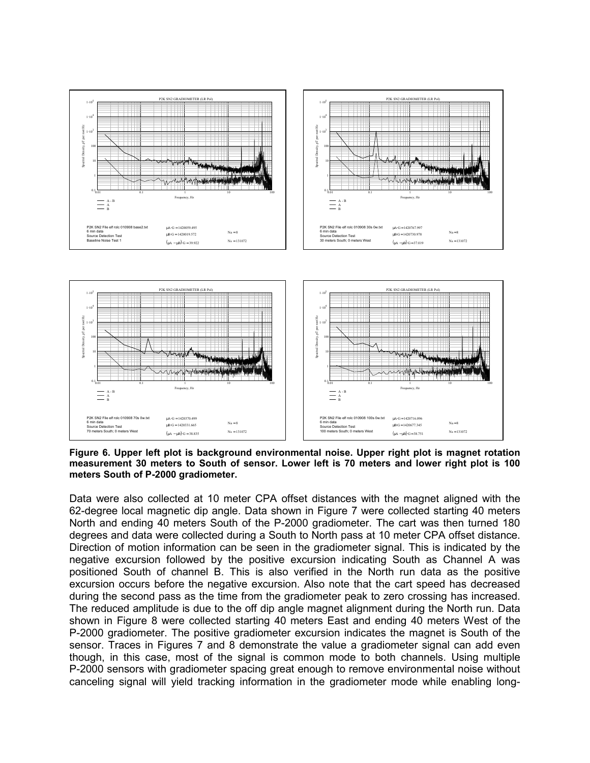



**Figure 6. Upper left plot is background environmental noise. Upper right plot is magnet rotation measurement 30 meters to South of sensor. Lower left is 70 meters and lower right plot is 100 meters South of P-2000 gradiometer.** 

Data were also collected at 10 meter CPA offset distances with the magnet aligned with the 62-degree local magnetic dip angle. Data shown in Figure 7 were collected starting 40 meters North and ending 40 meters South of the P-2000 gradiometer. The cart was then turned 180 degrees and data were collected during a South to North pass at 10 meter CPA offset distance. Direction of motion information can be seen in the gradiometer signal. This is indicated by the negative excursion followed by the positive excursion indicating South as Channel A was positioned South of channel B. This is also verified in the North run data as the positive excursion occurs before the negative excursion. Also note that the cart speed has decreased during the second pass as the time from the gradiometer peak to zero crossing has increased. The reduced amplitude is due to the off dip angle magnet alignment during the North run. Data shown in Figure 8 were collected starting 40 meters East and ending 40 meters West of the P-2000 gradiometer. The positive gradiometer excursion indicates the magnet is South of the sensor. Traces in Figures 7 and 8 demonstrate the value a gradiometer signal can add even though, in this case, most of the signal is common mode to both channels. Using multiple P-2000 sensors with gradiometer spacing great enough to remove environmental noise without canceling signal will yield tracking information in the gradiometer mode while enabling long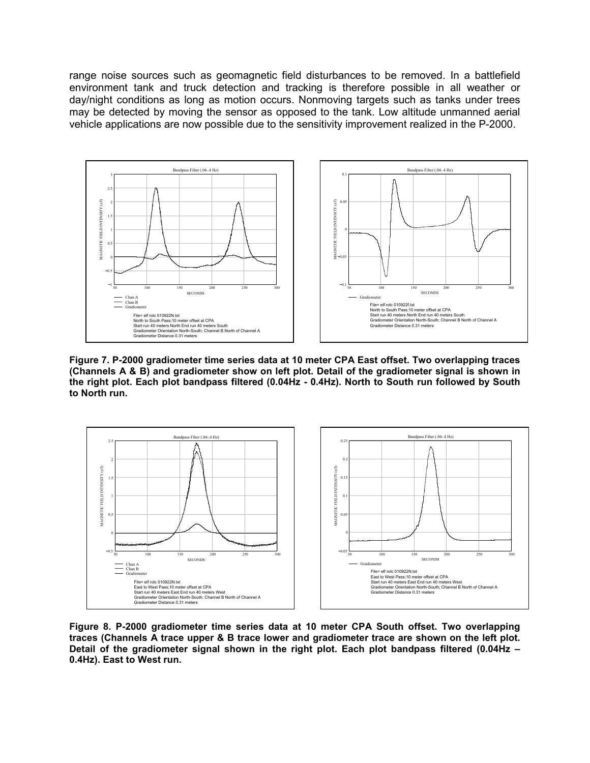range noise sources such as geomagnetic field disturbances to be removed. In a battlefield environment tank and truck detection and tracking is therefore possible in all weather or day/night conditions as long as motion occurs. Nonmoving targets such as tanks under trees may be detected by moving the sensor as opposed to the tank. Low altitude unmanned aerial vehicle applications are now possible due to the sensitivity improvement realized in the P-2000.



**Figure 7. P-2000 gradiometer time series data at 10 meter CPA East offset. Two overlapping traces (Channels A & B) and gradiometer show on left plot. Detail of the gradiometer signal is shown in the right plot. Each plot bandpass filtered (0.04Hz - 0.4Hz). North to South run followed by South to North run.** 



**Figure 8. P-2000 gradiometer time series data at 10 meter CPA South offset. Two overlapping traces (Channels A trace upper & B trace lower and gradiometer trace are shown on the left plot. Detail of the gradiometer signal shown in the right plot. Each plot bandpass filtered (0.04Hz – 0.4Hz). East to West run.**